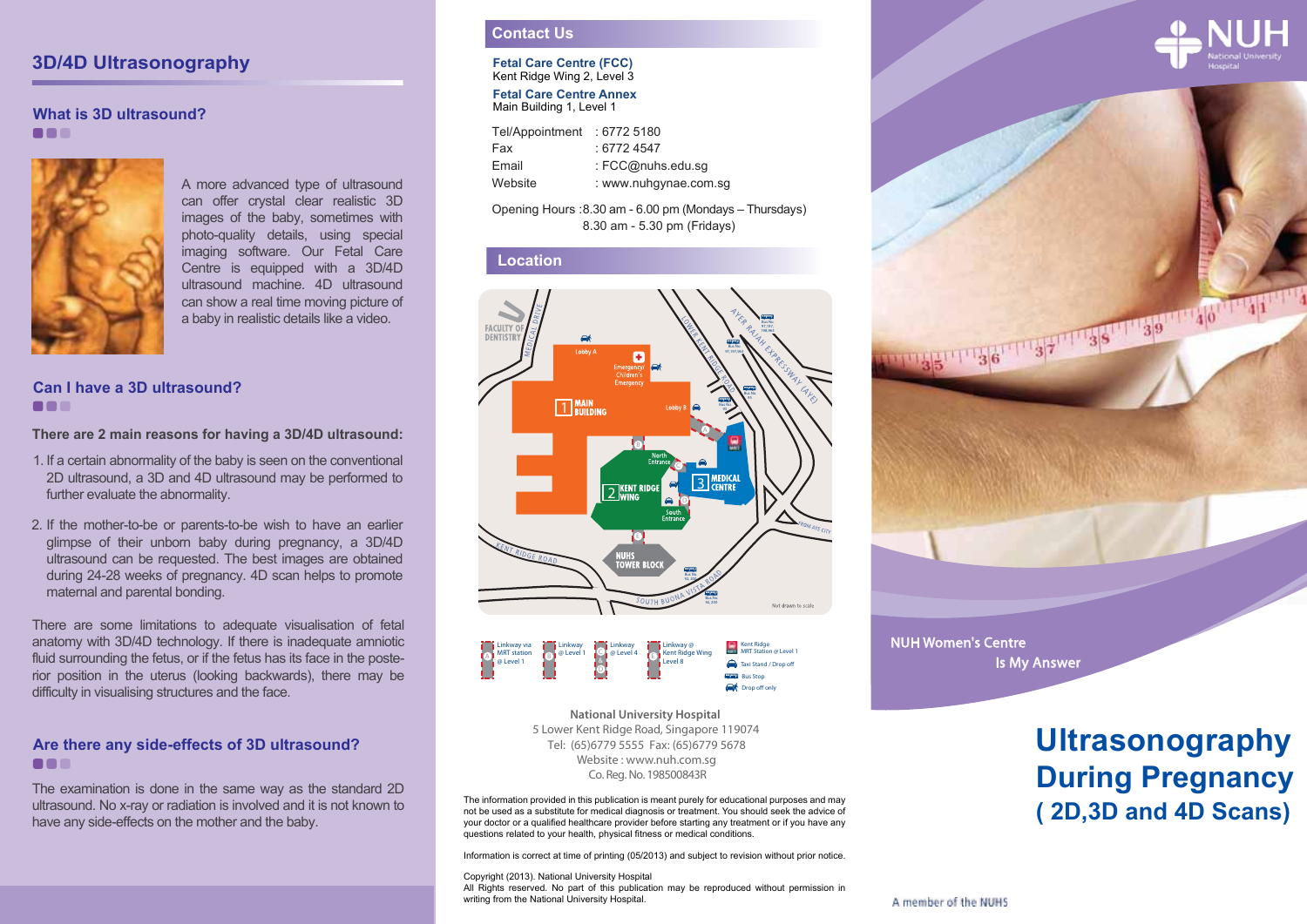### **3D/4D Ultrasonography**

#### **What is 3D ultrasound?** ...



A more advanced type of ultrasound can offer crystal clear realistic 3D images of the baby, sometimes with photo-quality details, using special imaging software. Our Fetal Care Centre is equipped with a 3D/4D ultrasound machine. 4D ultrasound can show a real time moving picture of a baby in realistic details like a video.

#### **Can I have a 3D ultrasound? BBB**

#### **There are 2 main reasons for having a 3D/4D ultrasound:**

- 1. If a certain abnormality of the baby is seen on the conventional 2D ultrasound, a 3D and 4D ultrasound may be performed to further evaluate the abnormality.
- 2. If the mother-to-be or parents-to-be wish to have an earlier glimpse of their unborn baby during pregnancy, a 3D/4D ultrasound can be requested. The best images are obtained during 24-28 weeks of pregnancy. 4D scan helps to promote maternal and parental bonding.

There are some limitations to adequate visualisation of fetal anatomy with 3D/4D technology. If there is inadequate amniotic fluid surrounding the fetus, or if the fetus has its face in the posterior position in the uterus (looking backwards), there may be difficulty in visualising structures and the face.

#### **Are there any side-effects of 3D ultrasound? BBB**

The examination is done in the same way as the standard 2D ultrasound. No x-ray or radiation is involved and it is not known to

#### **Contact Us**

#### **Fetal Care Centre (FCC)** Kent Ridge Wing 2, Level 3

**Fetal Care Centre Annex** Main Building 1, Level 1

| Tel/Appointment | :67725180             |
|-----------------|-----------------------|
| Fax             | : 67724547            |
| Email           | : FCC@nuhs.edu.sg     |
| Website         | : www.nuhgynae.com.sg |

#### Opening Hours : 8.30 am - 6.00 pm (Mondays – Thursdays) 8.30 am - 5.30 pm (Fridays)

#### **Location**





Co. Reg. No. 198500843R **National University Hospital**  5 Lower Kent Ridge Road, Singapore 119074 Website : www.nuh.com.sg Tel: (65)6779 5555 Fax: (65)6779 5678

The information provided in this publication is meant purely for educational purposes and may not be used as a substitute for medical diagnosis or treatment. You should seek the advice of your doctor or a qualified healthcare provider before starting any treatment or if you have any questions related to your health, physical fitness or medical conditions. ultrasound. No x-ray or radiation is involved and it is not known to<br>
not be used as a substitute for medical diagnosis or destained the baby.<br>
your doctor or a qualified healthcare provider before starting any treatment o

Information is correct at time of printing (05/2013) and subject to revision without prior notice.

#### Copyright (2013). National University Hospital

All Rights reserved. No part of this publication may be reproduced without permission in writing from the National University Hospital.





NUH Women's Centre Is My Answer

# **Ultrasonography During Pregnancy**

A member of the NUHS